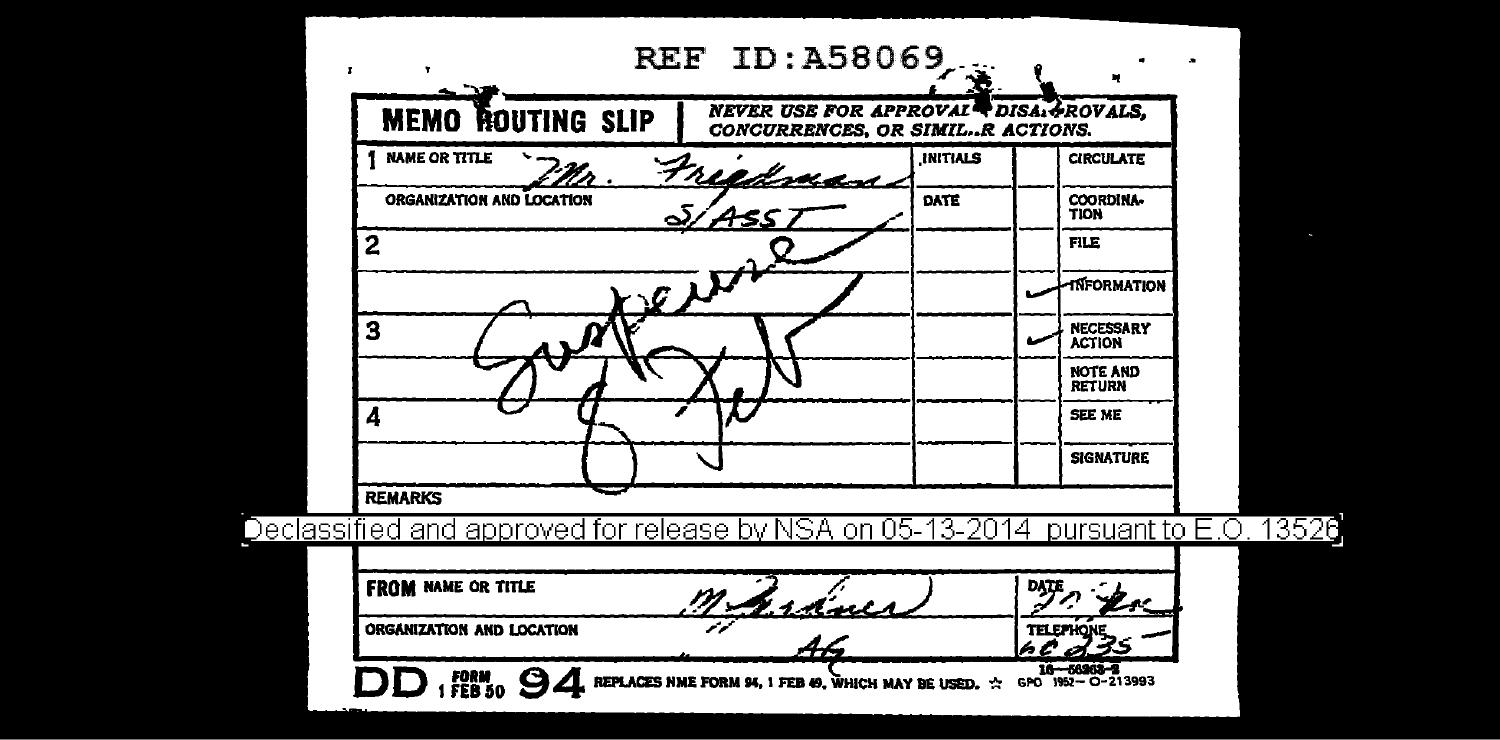| ORGANIZATION AND LOCATION                                   | rancs<br>44                                                                                  |                 | <b>TELEPHONE</b>                 |
|-------------------------------------------------------------|----------------------------------------------------------------------------------------------|-----------------|----------------------------------|
| <b>FROM NAME OR TITLE</b>                                   |                                                                                              |                 |                                  |
| Declassified and approved for release by NSA on 05-13-2014. |                                                                                              |                 | pursuant to E.O                  |
| <b>REMARKS</b>                                              |                                                                                              |                 |                                  |
|                                                             |                                                                                              |                 | <b>SIGNATURE</b>                 |
| 4                                                           |                                                                                              |                 | SEE ME                           |
|                                                             |                                                                                              |                 | <b>NOTE AND</b><br><b>RETURN</b> |
| З                                                           |                                                                                              |                 | NECESSARY<br>ACTION              |
|                                                             | rett                                                                                         |                 | <b>TNFORMATION</b>               |
| $\mathbf{2}$                                                |                                                                                              |                 | <b>FILE</b>                      |
| ORGANIZATION AND LOCATION                                   |                                                                                              | DATE            | COORDINA-<br>TION                |
| <b>NAME OR TITLE</b>                                        | Freedoman                                                                                    | <b>INITIALS</b> | <b>CIRCULATE</b>                 |
| <b>MEMO ROUTING SLIP</b>                                    | <b>NEVER USE FOR APPROVAL<sup>4</sup> DISAL PROVALS.</b><br>CONCURRENCES, OR SIMILR ACTIONS. |                 |                                  |
| $\mathbf{r}$                                                | <b>REF ID: A58069</b>                                                                        | Æ               |                                  |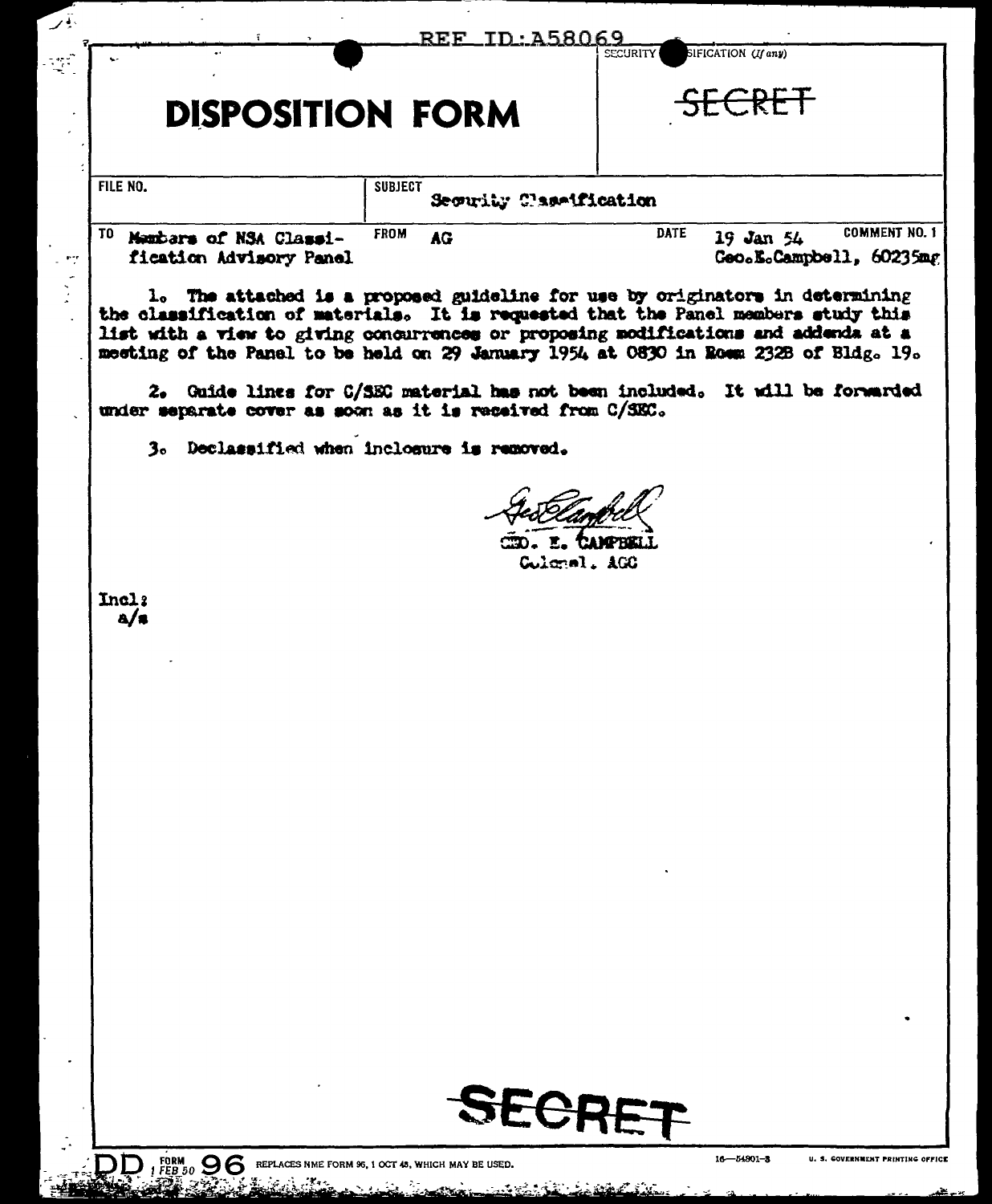|                                                                 | REF ID: A58069                            | SIFICATION (If any)<br><b>SECURITY</b>                                                                                                                                                                                                                                                                                                             |
|-----------------------------------------------------------------|-------------------------------------------|----------------------------------------------------------------------------------------------------------------------------------------------------------------------------------------------------------------------------------------------------------------------------------------------------------------------------------------------------|
| <b>DISPOSITION FORM</b>                                         |                                           | <del>SFCRET</del>                                                                                                                                                                                                                                                                                                                                  |
| FILE NO.                                                        | <b>SUBJECT</b><br>Security Classification |                                                                                                                                                                                                                                                                                                                                                    |
| <sup>10</sup> Mambars of NSA Classi-<br>fication Advisory Panel | <b>FROM</b><br>AG <sub></sub>             | <b>COMMENT NO. 1</b><br><b>DATE</b><br>19 Jan 54<br>Geo.E.Campbell, 60235mg                                                                                                                                                                                                                                                                        |
|                                                                 |                                           | 1. The attached is a proposed guideline for use by originators in determining<br>the classification of materials. It is requested that the Panel members study this<br>list with a view to giving concurrences or proposing modifications and addenda at a<br>meeting of the Panel to be held on 29 January 1954 at 0830 in Roem 232B of Bldg. 19. |
| under separate cover as soon as it is received from C/SEC.      |                                           | 2. Guide lines for C/SEC material has not been included. It will be forwarded                                                                                                                                                                                                                                                                      |
| 3. Declassified when inclosure is removed.                      |                                           |                                                                                                                                                                                                                                                                                                                                                    |
| Incl:<br>a/s                                                    |                                           | <b>CAMPBELL</b><br>Culcael, AGC                                                                                                                                                                                                                                                                                                                    |
|                                                                 |                                           |                                                                                                                                                                                                                                                                                                                                                    |
|                                                                 |                                           |                                                                                                                                                                                                                                                                                                                                                    |
|                                                                 |                                           |                                                                                                                                                                                                                                                                                                                                                    |
|                                                                 |                                           |                                                                                                                                                                                                                                                                                                                                                    |
|                                                                 |                                           |                                                                                                                                                                                                                                                                                                                                                    |
|                                                                 | <b>SECRET</b>                             |                                                                                                                                                                                                                                                                                                                                                    |

**DD**, FEB<sub>30</sub> OC REPLACES NME FORM S6, 1 OCT 45, WHICH MAY BE USED.

يمك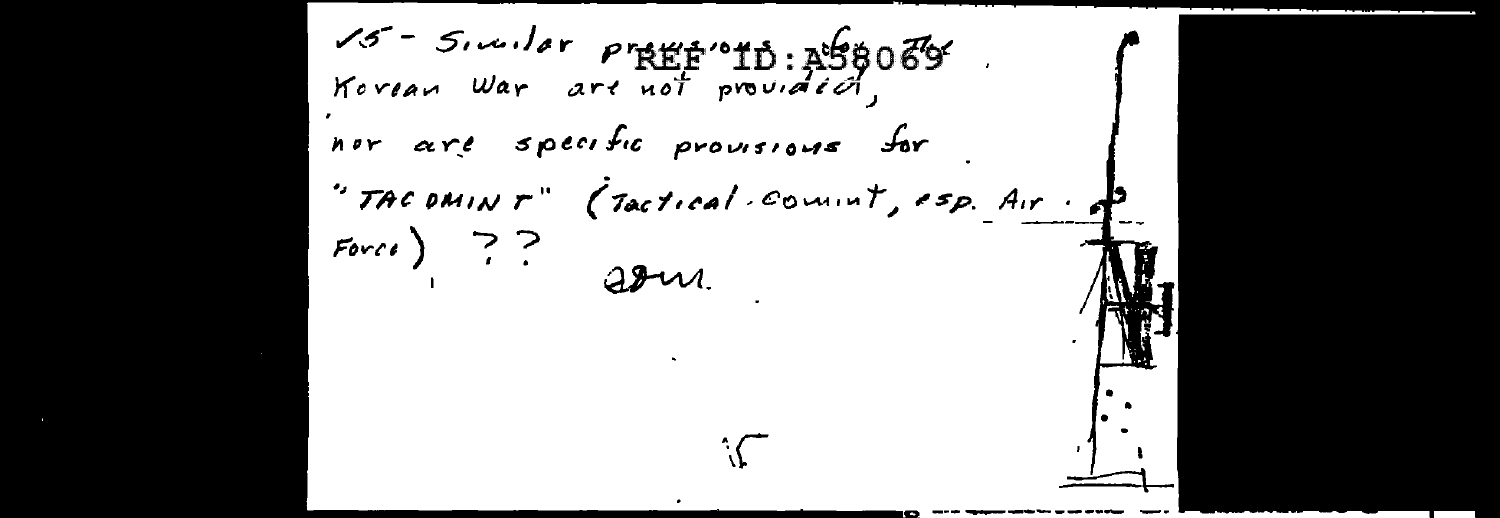$15 - 5$ , wilde present of  $10:158069$ Korean War are not provided, nor are specific provisions for "TACOMINT" (Tactical commit, esp. Air.  $Force$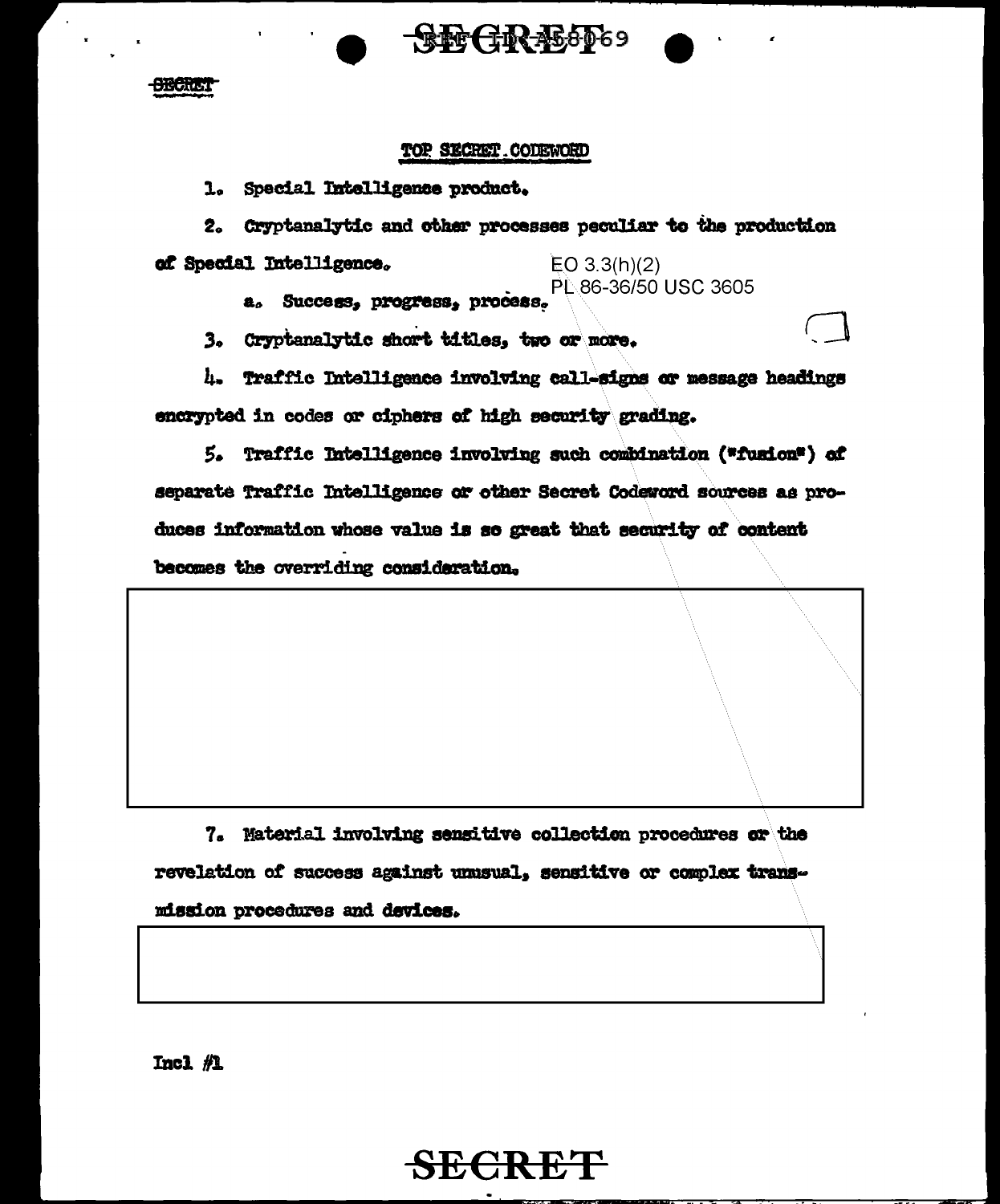

**SECRET** 

#### TOP SECRET CODEWORD

1. Special Intelligence product.

2. Cryptanalytic and other processes peculiar to the production of Special Intelligence.  $EO 3.3(h)(2)$ 

PL 86-36/50 USC 3605

a. Success, progress, process.

3. Cryptanalytic short titles. two or more.

4. Traffic Intelligence involving call-signs or message headings encrypted in codes or ciphers of high security grading.

5. Traffic Intelligence involving such combination ("fusion") of separate Traffic Intelligence or other Secret Codeword sources as produces information whose value is so great that security of content becomes the overriding consideration.

7. Material involving sensitive collection procedures or the revelation of success against unusual, sensitive or complex transmission procedures and devices.

SECRET

Incl 机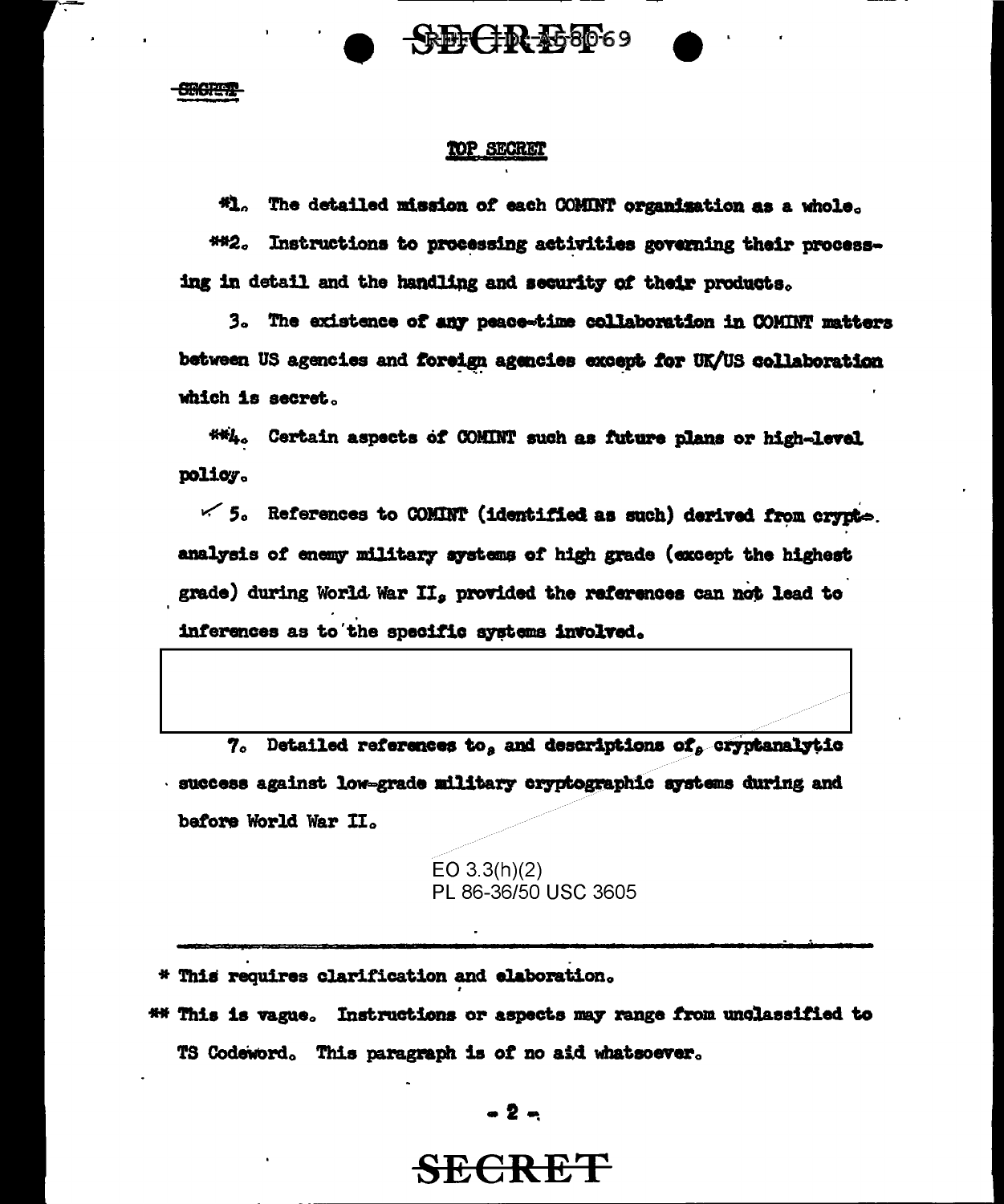

**CHORETE** 

#### TOP SECRET

**\*1.** The detailed mission of each COMINT organisation as a whole.

##2. Instructions to processing activities governing their processing in detail and the handling and security of their products.

3. The existence of any peace-time collaboration in COMINT matters between US agencies and foreign agencies except for UK/US collaboration which is secret.

##4. Certain aspects of COMINT such as future plans or high-level policy.

 $\leq$  5. References to COMINT (identified as such) derived from crypte. analysis of enemy military systems of high grade (except the highest grade) during World War II, provided the references can not lead to inferences as to the specific systems involved.

 $7.$  Detailed references to, and descriptions of, cryptanalytic success against low-grade military cryptographic systems during and before World War II.

> EO  $3.3(h)(2)$ PL 86-36/50 USC 3605

\* This requires clarification and elaboration.

\*\* This is vague. Instructions or aspects may range from unclassified to TS Codeword. This paragraph is of no aid whatsoever.

 $-2-$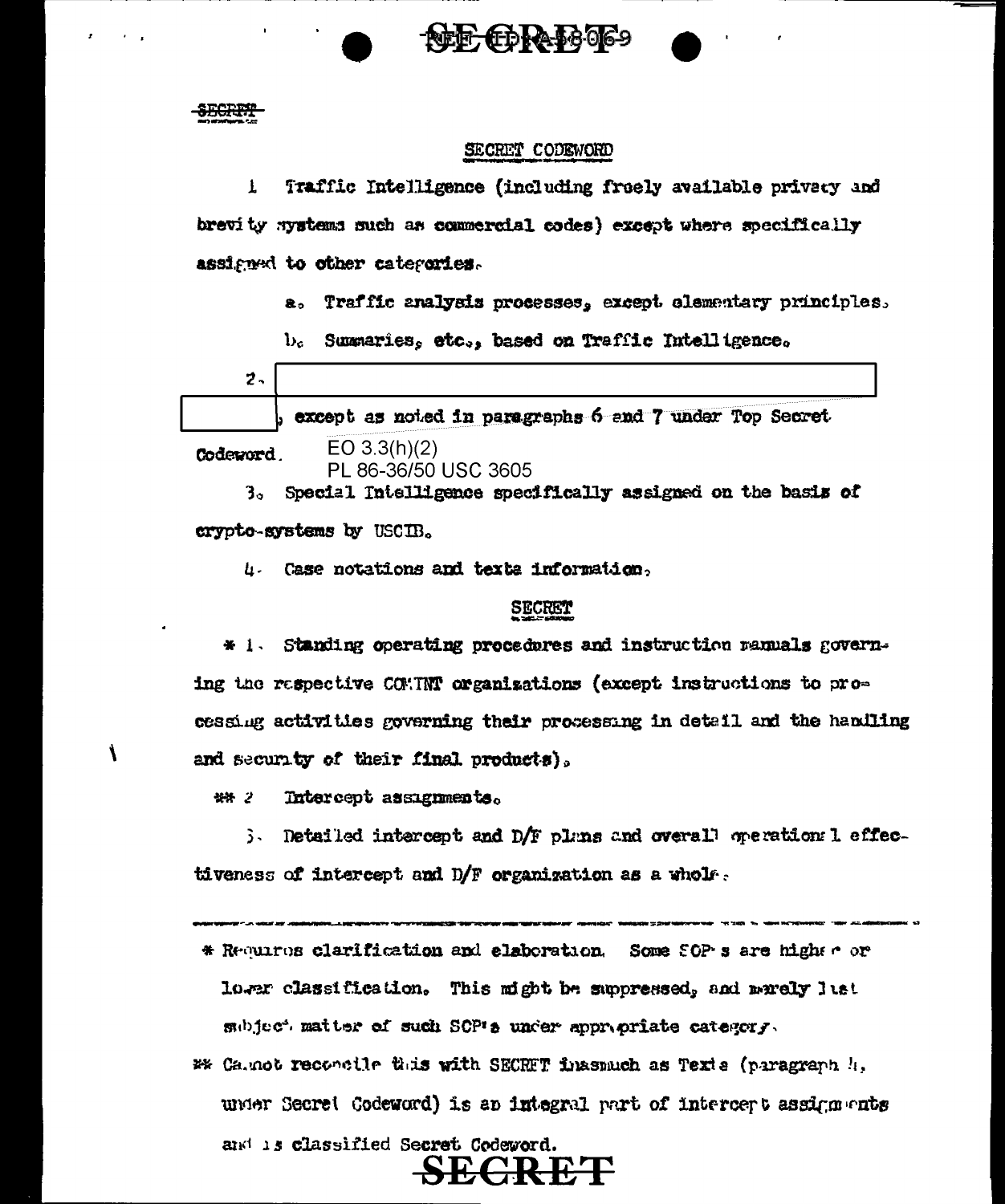#### <del>SECRIM</del>

#### SECRET CODEWORD

**FDRA-58069** 

Traffic Intelligence (including freely available privacy and  $\mathbf{I}$ brevity systems such as commercial codes) except where specifically assigned to other categories.

a. Traffic analysis processes, except elementary principles.

 $b_c$  Summaries, etc., based on Traffic Intelligence.

|   |  |  | b except as noted in paragraphs 6 and 7 under Top Secret. |  |
|---|--|--|-----------------------------------------------------------|--|
| ÷ |  |  |                                                           |  |

Codeword.

Í

PL 86-36/50 USC 3605

 $EO 3.3(h)(2)$ 

Special Intelligence specifically assigned on the basis of 3. crypto-systems by USCIB.

4. Case notations and texts information.

#### **SECRET**

Standing operating procedures and instruction ranuals govern- $*1.$ ing the respective COMINT organizations (except instructions to processing activities governing their processing in detail and the handling and security of their final products).

\*\* 2 Intercept assignments.

3. Detailed intercept and D/F plans and overall operation: 1 effectiveness of intercept and D/F organization as a whole.

- \* Recurse clarification and elaboration. Some SOP s are higher or lower classification. This might be suppressed, and marely lust subject matter of such SCP's under appropriate category.
- #\* Ca.not reconcile this with SECRFT finasmuch as Texts (paragraph !!, under Secret Codeword) is an integral part of intercept assignments and is classified Secret Codeword.

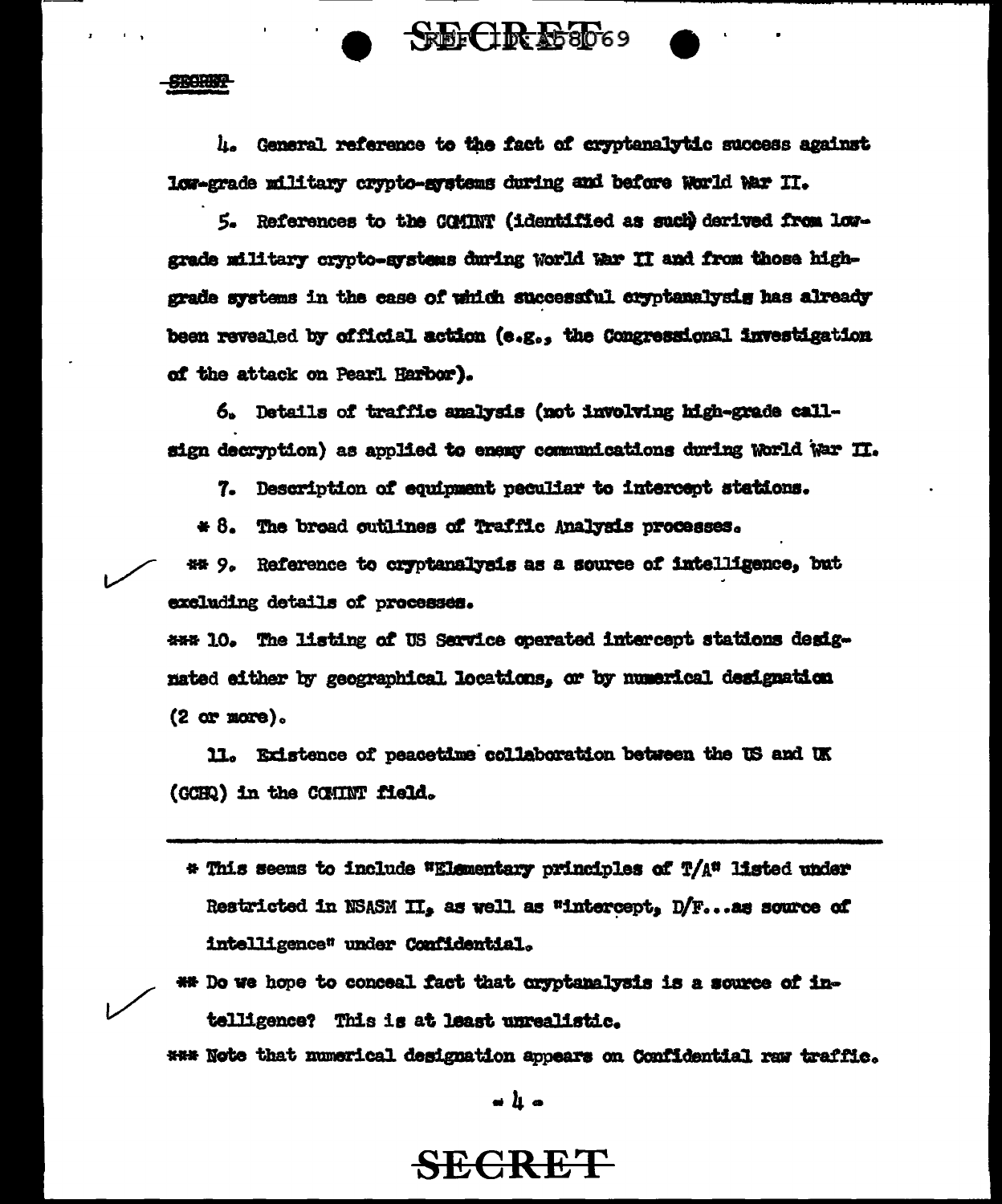**STORES** 

4. General reference to the fact of cryptenalytic success against low-grade military crypto-systems during and before World War II.

**SECREST**69

5. References to the COMINT (identified as such derived from lowgrade military crypto-systems during World War II and from those highgrade systems in the case of which successful cryptanalysis has already been revealed by official action (e.g., the Congressional investigation of the attack on Pearl Harbor).

6. Details of traffic analysis (not involving high-grade callsign decryption) as applied to energ communications during World War II.

7. Description of equipment peculiar to intercept stations.

\* 8. The broad outlines of Traffic Analysis processes.

## 9. Reference to cryptanalysis as a source of intelligence, but excluding details of processes.

\*\*\* 10. The listing of US Service operated intercept stations designated either by geographical locations, or by numerical designation (2 or more).

11. Existence of peacetime collaboration between the US and UK (GCHQ) in the COMINT field.

- \* This seems to include \*Elementary principles of T/A\* listed under Restricted in NSASM II, as well as "intercept, D/F...as source of intelligence" under Confidential.
- \*\* Do we hope to conceal fact that cryptanalysis is a source of intelligence? This is at least unrealistic.

\*\*\* Note that numerical designation appears on Confidential raw traffic.

 $\blacksquare$   $\blacksquare$   $\blacksquare$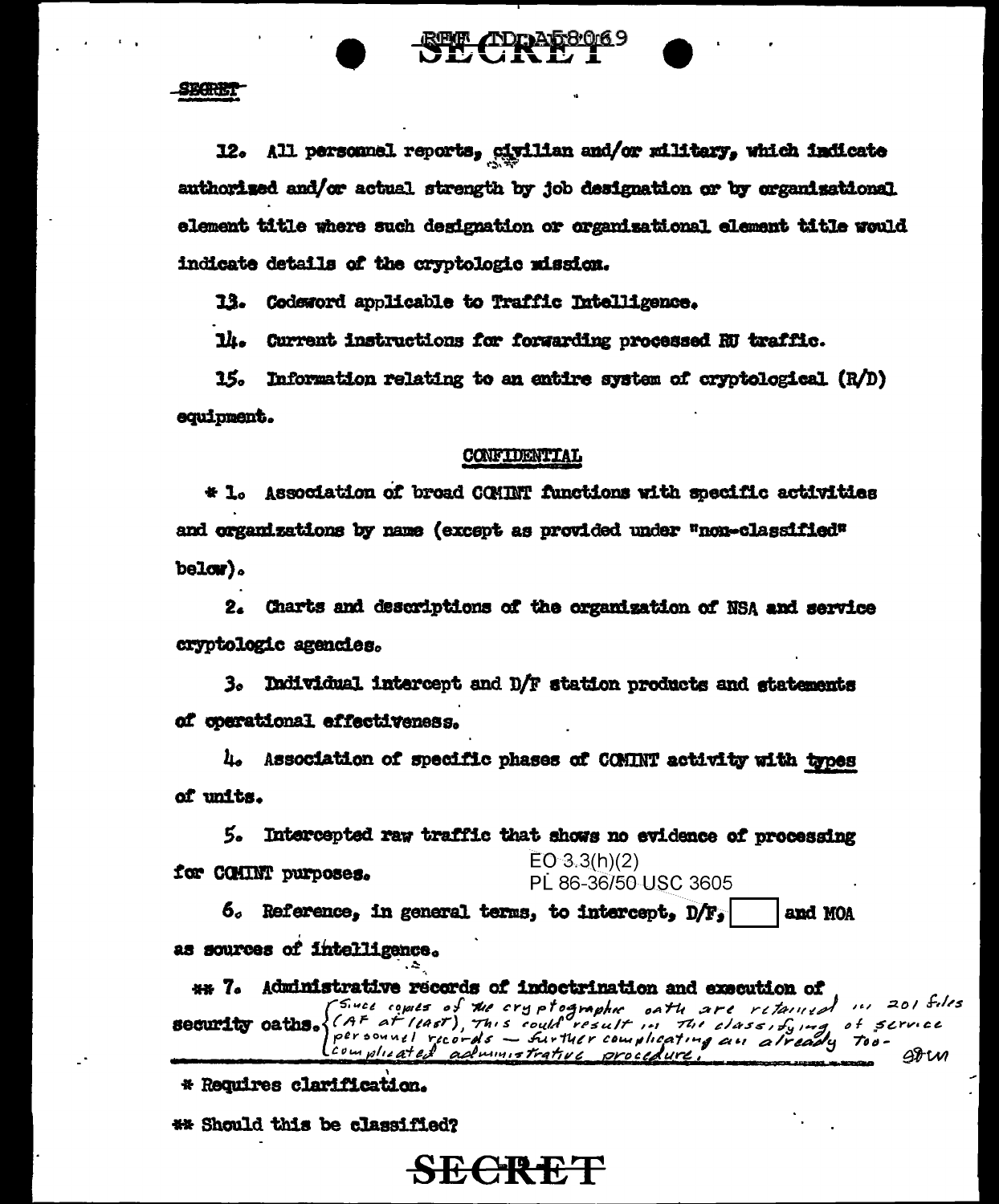SBORET

12. All personnel reports, civilian and/or military, which indicate authorized and/or actual strength by job designation or by organizational element title where such designation or organisational element title would indicate details of the cryptologic mission.

13. Codeword applicable to Traffic Intelligence.

14. Current instructions for forwarding processed RU traffic.

15. Information relating to an entire system of cryptological  $(R/D)$ equipment.

#### CONFIDENTIAL

\* 1. Association of broad COMINT functions with specific activities and organizations by name (except as provided under "non-classified"  $be1$   $\alpha$   $\alpha$ 

2. Charts and descriptions of the organization of NSA and service cryptologic agencies.

3. Individual intercept and D/F station products and statements of operational effectiveness.

4. Association of specific phases of COMINT activity with types of units.

5. Intercepted raw traffic that shows no evidence of processing  $EO 3.3(h)(2)$ for COMINT purposes. PL 86-36/50 USC 3605

 $6.$  Reference, in general terms, to intercept,  $D/F_s$ and MOA as sources of intelligence.

SECRET

\*\* 7. Administrative records of indoctrination and execution of security oaths. (Since comes of the cryptographic oath are retained in 201 files<br>Becurity oaths. (AF at least), This could result in The class, fying of scruce<br>complicated administrative proceedure. The already Too-

\* Requires clarification.

\*\* Should this be classified?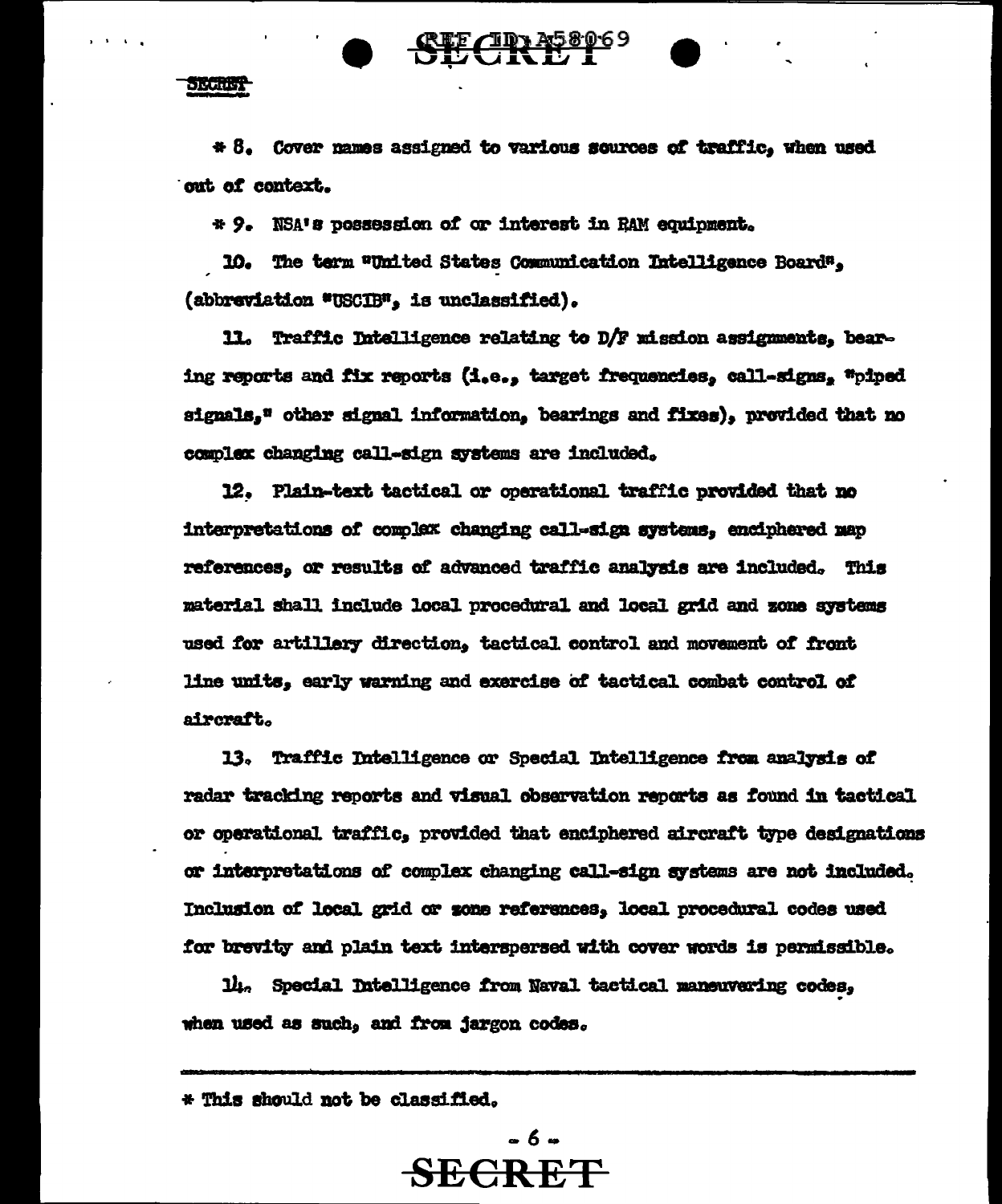$C\!R\!D^{358069}$ 

SECRET

\* 8. Cover names assigned to various sources of traffic, when used out of context.

\* 9. NSA's possession of or interest in RAM equipment.

10. The term "United States Communication Intelligence Board", (abbreviation \*USCIB", is unclassified).

11. Traffic Intelligence relating to D/F mission assignments, bearing reports and fix reports (i.e., target frequencies, call-signs, "piped signals," other signal information, bearings and fixes), provided that no complex changing call-sign systems are included.

12. Plain-text tactical or operational traffic provided that no interpretations of complex changing call-sign systems, enciphered map references, or results of advanced traffic analysis are included. This material shall include local procedural and local grid and zone systems used for artillery direction, tactical control and movement of front line units, early warning and exercise of tactical combat control of aircraft.

13. Traffic Intelligence or Special Intelligence from analysis of radar tracking reports and visual observation reports as found in tactical or operational traffic, provided that enciphered aircraft type designations or interpretations of complex changing call-sign systems are not included. Inclusion of local grid or sone references, local procedural codes used for brevity and plain text interspersed with cover words is permissible.

14. Special Intelligence from Naval tactical maneuvering codes, when used as such, and from jargon codes.

\* This should not be classified.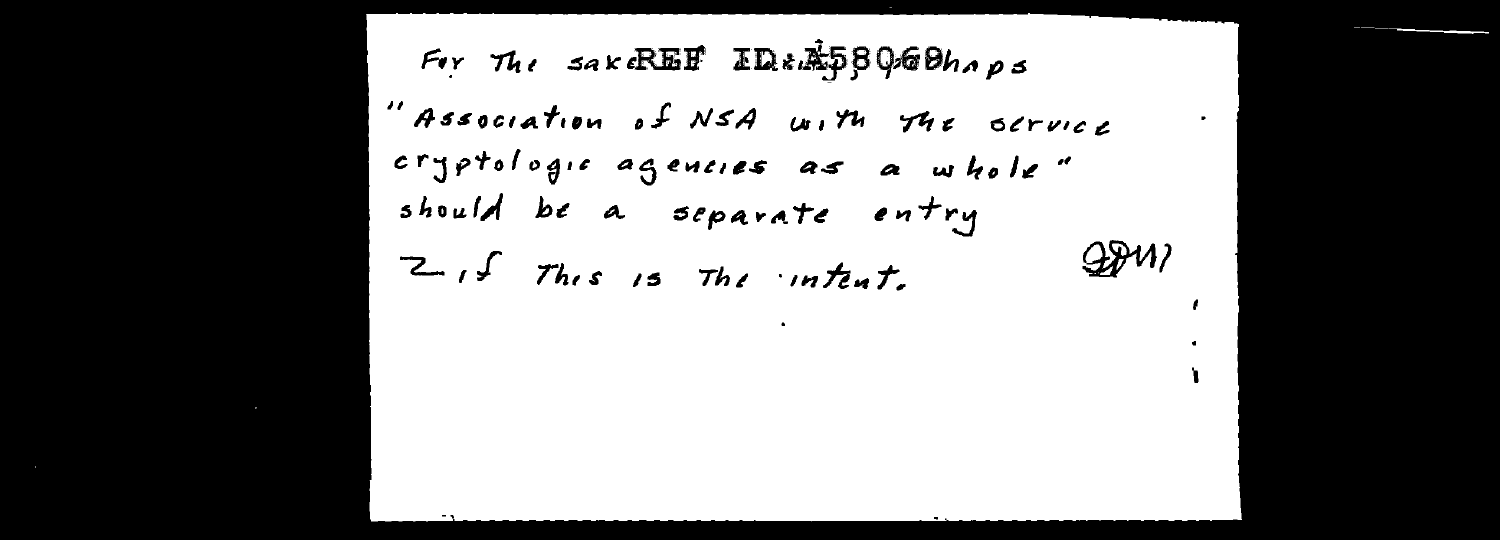For The SAKE BET ID: ASBOGONAPS "Association of NSA with the service cryptologic agencies as a whole" should be a separate entry Z, I This is The intent.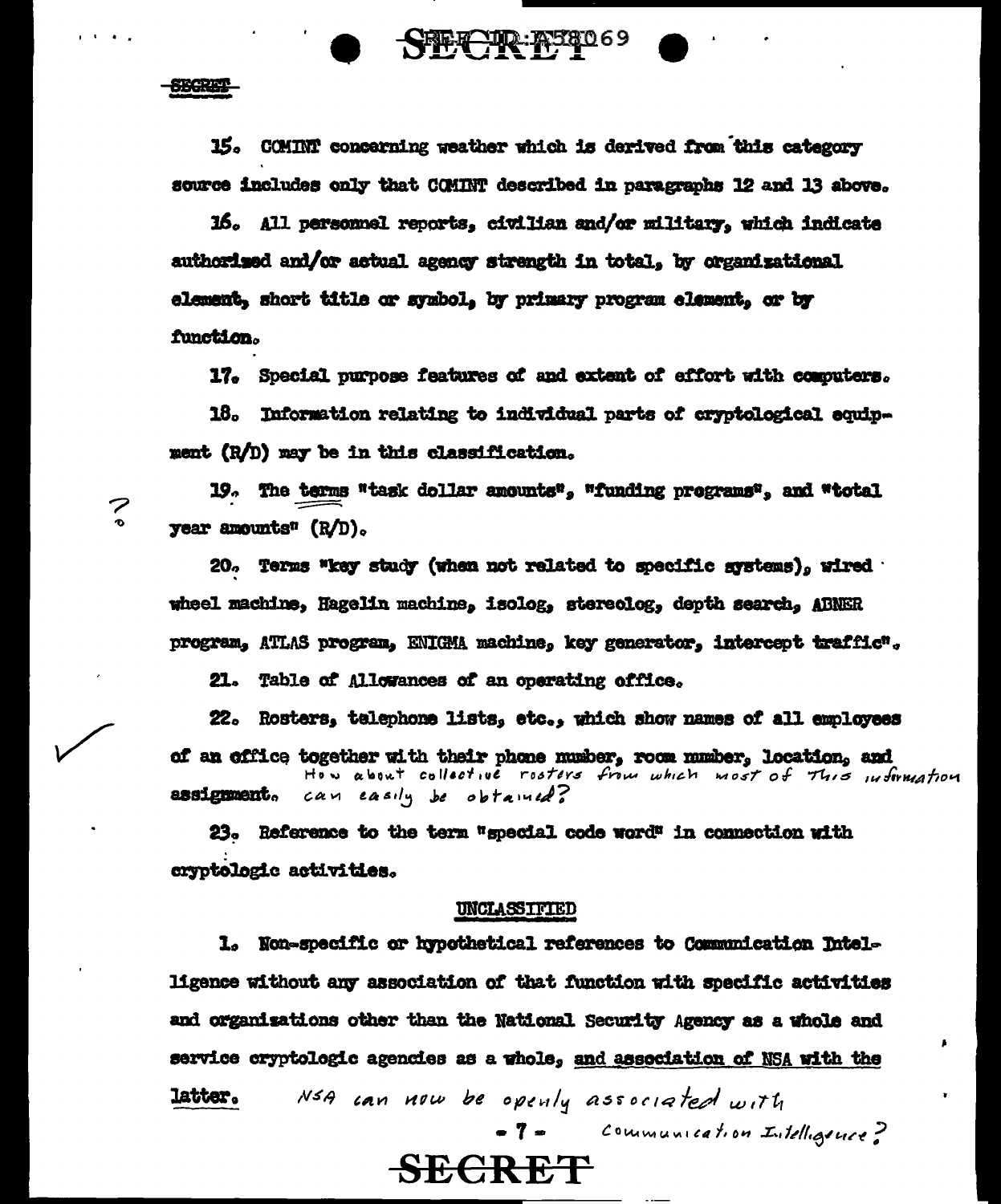**SECRET** 

15. COMINY concerning weather which is derived from this category source includes only that COMINT described in paragraphs 12 and 13 above.

16. All personnel reports, civilian and/or military, which indicate authorised and/or actual agency strength in total. by organizational element, short title or symbol, by primary program element, or by function.

17. Special purpose features of and extent of effort with computers.

18. Information relating to individual parts of cryptological equipment (R/D) may be in this classification.

19. The terms "task dollar amounts", "funding programs", and "total year amounts<sup> $\mathfrak{n}$ </sup>  $(R/D)$ .

20. Terms "key study (when not related to specific systems), wired wheel machine, Hagelin machine, isolog, stereolog, depth search, ARNER program, ATLAS program, ENIGMA machine, key generator, intercept traffic".

21. Table of Allowances of an operating office.

22. Rosters, telephone lists, etc., which show names of all employees of an office together with their phone number, room number, location, and can easily be obtained? assignment.

23. Reference to the term "special code word" in connection with cryptologic activities.

#### UNCLASSIFIED

1. Non-specific or hypothetical references to Communication Intelligence without any association of that function with specific activities and organizations other than the National Security Agency as a whole and service cryptologic agencies as a whole, and association of NSA with the

NSA can now be openly associated with **latter.** 

**SECRET** 

- 7 = Communication Intelligence?

## 7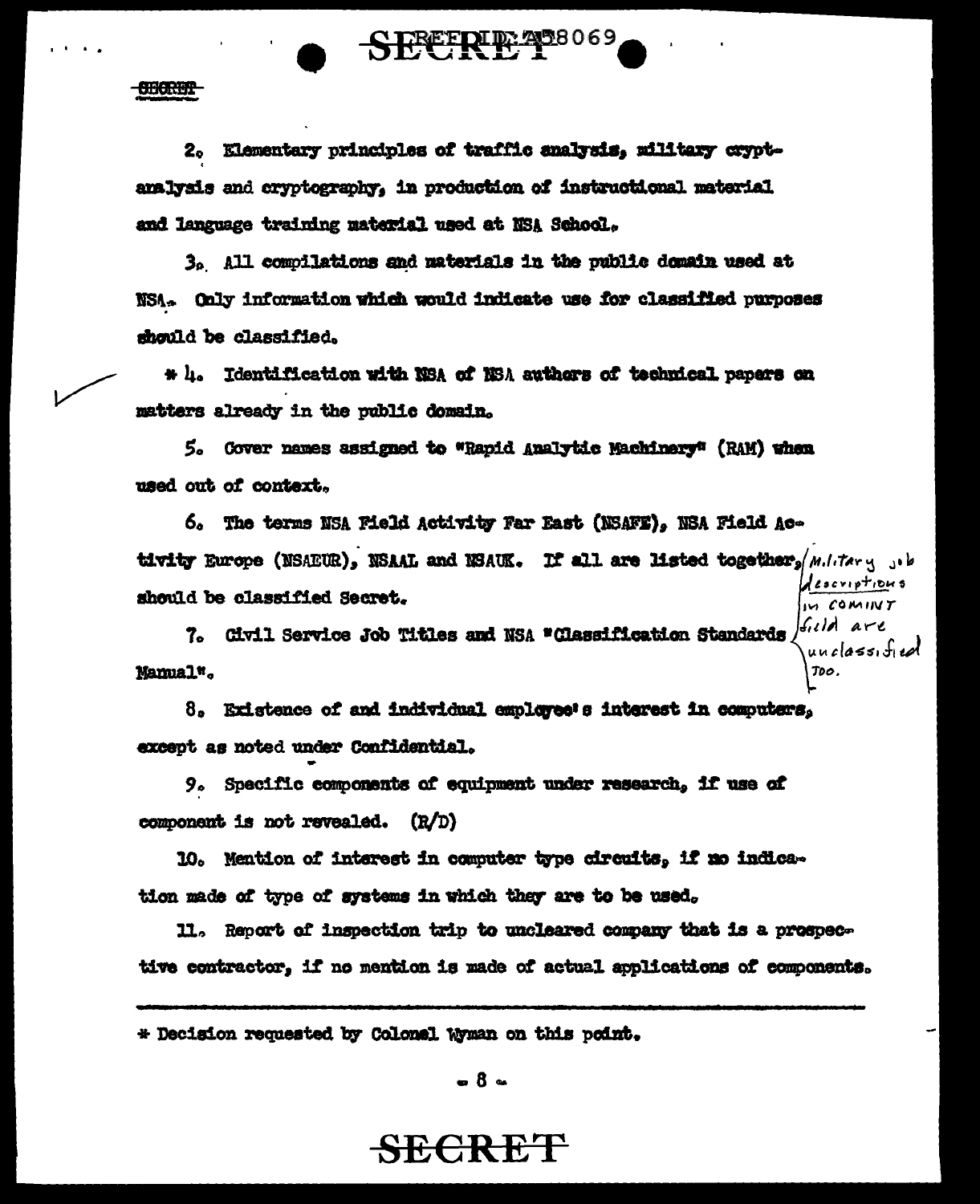2. Elementary principles of traffic analysis, military cryptanalysis and cryptography. in production of instructional material and language training material used at NSA School.

**CHORTH** 

SECRETO 20069

3. All compilations and materials in the public domain used at NSA. Only information which would indicate use for classified purposes should be classified.

\* h. Identification with NSA of NSA authors of technical papers on matters already in the public domain.

5. Gover names assigned to "Rapid Analytic Machinery" (RAM) when used out of context.

6. The terms NSA Field Activity Far East (NSAFE). NSA Field Activity Europe (NSAEUR), NSAAL and NSAUK. If all are listed together, M.I. tary 3.b descriptions should be classified Secret. IN COMINT

7. Civil Service Job Titles and NSA "Classification Standards  $|f_{ij}|/|A|$  are  $unclass of ed$ Mamual<sup>w</sup>.

8. Existence of and individual employee's interest in computers. excent as noted under Confidential.

9. Specific components of equipment under research, if use of component is not revealed. (R/D)

10. Mention of interest in computer type circuits, if no indication made of type of systems in which they are to be used.

11. Report of inspection trip to uncleared company that is a prospective contractor, if no mention is made of actual applications of components.

\* Decision requested by Colonal Wyman on this point.

 $-8 -$